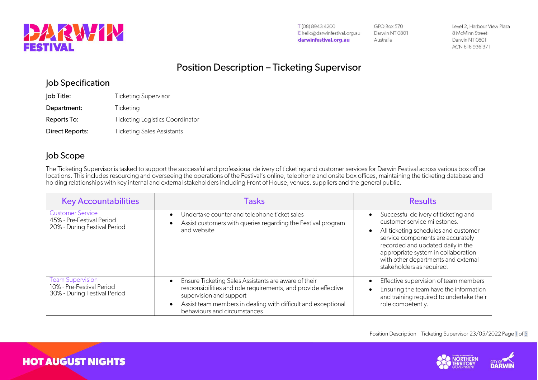

T(08) 8943 4200 E hello@darwinfestival.org.au darwinfestival.org.au

GPO Box 570 Darwin NT 0801 Australia

Level 2, Harbour View Plaza 8 McMinn Street Darwin NT 0801 ACN 616 936 371

## Position Description – Ticketing Supervisor

### Job Specification

| Job Title:      | <b>Ticketing Supervisor</b>       |
|-----------------|-----------------------------------|
| Department:     | Ticketing                         |
| Reports To:     | Ticketing Logistics Coordinator   |
| Direct Reports: | <b>Ticketing Sales Assistants</b> |

## Job Scope

The Ticketing Supervisor is tasked to support the successful and professional delivery of ticketing and customer services for Darwin Festival across various box office locations. This includes resourcing and overseeing the operations of the Festival's online, telephone and onsite box offices, maintaining the ticketing database and holding relationships with key internal and external stakeholders including Front of House, venues, suppliers and the general public.

| <b>Key Accountabilities</b>                                                          | Tasks                                                                                                                                                                                                                                             | <b>Results</b>                                                                                                                                                                                                                                                                                    |
|--------------------------------------------------------------------------------------|---------------------------------------------------------------------------------------------------------------------------------------------------------------------------------------------------------------------------------------------------|---------------------------------------------------------------------------------------------------------------------------------------------------------------------------------------------------------------------------------------------------------------------------------------------------|
| <b>Customer Service</b><br>45% - Pre-Festival Period<br>20% - During Festival Period | Undertake counter and telephone ticket sales<br>Assist customers with queries regarding the Festival program<br>and website                                                                                                                       | Successful delivery of ticketing and<br>customer service milestones.<br>All ticketing schedules and customer<br>service components are accurately<br>recorded and updated daily in the<br>appropriate system in collaboration<br>with other departments and external<br>stakeholders as required. |
| <b>Team Supervision</b><br>10% - Pre-Festival Period<br>30% - During Festival Period | Ensure Ticketing Sales Assistants are aware of their<br>responsibilities and role requirements, and provide effective<br>supervision and support<br>Assist team members in dealing with difficult and exceptional<br>behaviours and circumstances | Effective supervision of team members<br>Ensuring the team have the information<br>and training required to undertake their<br>role competently.                                                                                                                                                  |



**HOT AUGUST NIGHTS**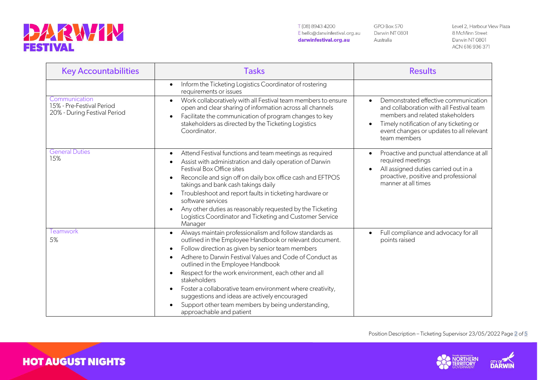

**HOT AUGUST NIGHTS** 

T(08) 8943 4200 E hello@darwinfestival.org.au darwinfestival.org.au

GPO Box 570 Darwin NT 0801 Australia

Level 2, Harbour View Plaza 8 McMinn Street Darwin NT 0801 ACN 616 936 371

| <b>Key Accountabilities</b>                                                | <b>Tasks</b>                                                                                                                                                                                                                                                                                                                                                                                                                                                                                                                                   | <b>Results</b>                                                                                                                                                                                                                                        |  |
|----------------------------------------------------------------------------|------------------------------------------------------------------------------------------------------------------------------------------------------------------------------------------------------------------------------------------------------------------------------------------------------------------------------------------------------------------------------------------------------------------------------------------------------------------------------------------------------------------------------------------------|-------------------------------------------------------------------------------------------------------------------------------------------------------------------------------------------------------------------------------------------------------|--|
|                                                                            | Inform the Ticketing Logistics Coordinator of rostering<br>requirements or issues                                                                                                                                                                                                                                                                                                                                                                                                                                                              |                                                                                                                                                                                                                                                       |  |
| Communication<br>15% - Pre-Festival Period<br>20% - During Festival Period | Work collaboratively with all Festival team members to ensure<br>open and clear sharing of information across all channels<br>Facilitate the communication of program changes to key<br>stakeholders as directed by the Ticketing Logistics<br>Coordinator.                                                                                                                                                                                                                                                                                    | Demonstrated effective communication<br>$\bullet$<br>and collaboration with all Festival team<br>members and related stakeholders<br>Timely notification of any ticketing or<br>$\bullet$<br>event changes or updates to all relevant<br>team members |  |
| <b>General Duties</b><br>15%                                               | Attend Festival functions and team meetings as required<br>Assist with administration and daily operation of Darwin<br>Festival Box Office sites<br>Reconcile and sign off on daily box office cash and EFTPOS<br>takings and bank cash takings daily<br>Troubleshoot and report faults in ticketing hardware or<br>software services<br>Any other duties as reasonably requested by the Ticketing<br>Logistics Coordinator and Ticketing and Customer Service<br>Manager                                                                      | Proactive and punctual attendance at all<br>required meetings<br>All assigned duties carried out in a<br>$\bullet$<br>proactive, positive and professional<br>manner at all times                                                                     |  |
| Teamwork<br>5%                                                             | Always maintain professionalism and follow standards as<br>outlined in the Employee Handbook or relevant document.<br>Follow direction as given by senior team members<br>Adhere to Darwin Festival Values and Code of Conduct as<br>outlined in the Employee Handbook<br>Respect for the work environment, each other and all<br>stakeholders<br>Foster a collaborative team environment where creativity,<br>suggestions and ideas are actively encouraged<br>Support other team members by being understanding,<br>approachable and patient | Full compliance and advocacy for all<br>$\bullet$<br>points raised                                                                                                                                                                                    |  |

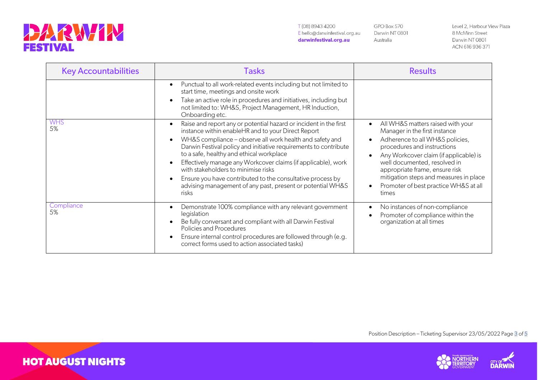

T(08) 8943 4200 E hello@darwinfestival.org.au darwinfestival.org.au

GPO Box 570 Darwin NT 0801 Australia

Level 2, Harbour View Plaza 8 McMinn Street Darwin NT 0801 ACN 616 936 371

| <b>Key Accountabilities</b> | Tasks                                                                                                                                                                                                                                                                                                                                                                                                                                                                                                                                            | <b>Results</b>                                                                                                                                                                                                                                                                                                                                                                      |  |
|-----------------------------|--------------------------------------------------------------------------------------------------------------------------------------------------------------------------------------------------------------------------------------------------------------------------------------------------------------------------------------------------------------------------------------------------------------------------------------------------------------------------------------------------------------------------------------------------|-------------------------------------------------------------------------------------------------------------------------------------------------------------------------------------------------------------------------------------------------------------------------------------------------------------------------------------------------------------------------------------|--|
|                             | Punctual to all work-related events including but not limited to<br>start time, meetings and onsite work<br>Take an active role in procedures and initiatives, including but<br>not limited to: WH&S, Project Management, HR Induction,<br>Onboarding etc.                                                                                                                                                                                                                                                                                       |                                                                                                                                                                                                                                                                                                                                                                                     |  |
| <b>WHS</b><br>5%            | Raise and report any or potential hazard or incident in the first<br>instance within enableHR and to your Direct Report<br>WH&S compliance - observe all work health and safety and<br>Darwin Festival policy and initiative requirements to contribute<br>to a safe, healthy and ethical workplace<br>Effectively manage any Workcover claims (if applicable), work<br>with stakeholders to minimise risks<br>Ensure you have contributed to the consultative process by<br>advising management of any past, present or potential WH&S<br>risks | All WH&S matters raised with your<br>$\bullet$<br>Manager in the first instance<br>Adherence to all WH&S policies,<br>$\bullet$<br>procedures and instructions<br>Any Workcover claim (if applicable) is<br>$\bullet$<br>well documented, resolved in<br>appropriate frame, ensure risk<br>mitigation steps and measures in place<br>Promoter of best practice WH&S at all<br>times |  |
| Compliance<br>5%            | Demonstrate 100% compliance with any relevant government<br>legislation<br>Be fully conversant and compliant with all Darwin Festival<br>Policies and Procedures<br>Ensure internal control procedures are followed through (e.g.<br>correct forms used to action associated tasks)                                                                                                                                                                                                                                                              | No instances of non-compliance<br>$\bullet$<br>Promoter of compliance within the<br>organization at all times                                                                                                                                                                                                                                                                       |  |

Position Description - Ticketing Supervisor 23/05/2022 Page 3 of 5



**HOT AUGUST NIGHTS**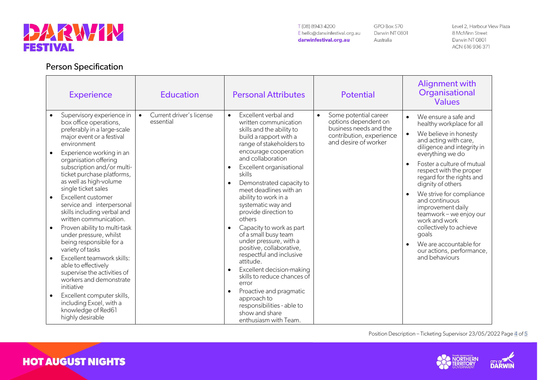

**Person Specification** 

#### T(08) 8943 4200 E hello@darwinfestival.org.au darwinfestival.org.au

GPO Box 570 Darwin NT 0801 Australia

Level 2, Harbour View Plaza 8 McMinn Street Darwin NT 0801 ACN 616 936 371

| <b>Experience</b>                                                                                                                                                                                                                                                                                                                                                                                                                                                                                                                                                                                                                                                                                                                                                                                                      | <b>Education</b>                                   | <b>Personal Attributes</b>                                                                                                                                                                                                                                                                                                                                                                                                                                                                                                                                                                                                                                                                                         | <b>Potential</b>                                                                                                                         | Alignment with<br>Organisational<br><b>Values</b>                                                                                                                                                                                                                                                                                                                                                                                                                                                         |
|------------------------------------------------------------------------------------------------------------------------------------------------------------------------------------------------------------------------------------------------------------------------------------------------------------------------------------------------------------------------------------------------------------------------------------------------------------------------------------------------------------------------------------------------------------------------------------------------------------------------------------------------------------------------------------------------------------------------------------------------------------------------------------------------------------------------|----------------------------------------------------|--------------------------------------------------------------------------------------------------------------------------------------------------------------------------------------------------------------------------------------------------------------------------------------------------------------------------------------------------------------------------------------------------------------------------------------------------------------------------------------------------------------------------------------------------------------------------------------------------------------------------------------------------------------------------------------------------------------------|------------------------------------------------------------------------------------------------------------------------------------------|-----------------------------------------------------------------------------------------------------------------------------------------------------------------------------------------------------------------------------------------------------------------------------------------------------------------------------------------------------------------------------------------------------------------------------------------------------------------------------------------------------------|
| Supervisory experience in<br>$\bullet$<br>box office operations,<br>preferably in a large-scale<br>major event or a festival<br>environment<br>Experience working in an<br>$\bullet$<br>organisation offering<br>subscription and/or multi-<br>ticket purchase platforms,<br>as well as high-volume<br>single ticket sales<br>Excellent customer<br>$\bullet$<br>service and interpersonal<br>skills including verbal and<br>written communication.<br>Proven ability to multi-task<br>under pressure, whilst<br>being responsible for a<br>variety of tasks<br>Excellent teamwork skills:<br>$\bullet$<br>able to effectively<br>supervise the activities of<br>workers and demonstrate<br>initiative<br>Excellent computer skills,<br>$\bullet$<br>including Excel, with a<br>knowledge of Red61<br>highly desirable | Current driver's license<br>$\bullet$<br>essential | Excellent verbal and<br>$\bullet$<br>written communication<br>skills and the ability to<br>build a rapport with a<br>range of stakeholders to<br>encourage cooperation<br>and collaboration<br>Excellent organisational<br>skills<br>Demonstrated capacity to<br>meet deadlines with an<br>ability to work in a<br>systematic way and<br>provide direction to<br>others<br>Capacity to work as part<br>of a small busy team<br>under pressure, with a<br>positive, collaborative,<br>respectful and inclusive<br>attitude.<br>Excellent decision-making<br>skills to reduce chances of<br>error<br>Proactive and pragmatic<br>approach to<br>responsibilities - able to<br>show and share<br>enthusiasm with Team. | Some potential career<br>$\bullet$<br>options dependent on<br>business needs and the<br>contribution, experience<br>and desire of worker | We ensure a safe and<br>$\bullet$<br>healthy workplace for all<br>We believe in honesty<br>and acting with care,<br>diligence and integrity in<br>everything we do<br>Foster a culture of mutual<br>respect with the proper<br>regard for the rights and<br>dignity of others<br>We strive for compliance<br>and continuous<br>improvement daily<br>teamwork - we enjoy our<br>work and work<br>collectively to achieve<br>goals<br>We are accountable for<br>our actions, performance,<br>and behaviours |

Position Description - Ticketing Supervisor 23/05/2022 Page 4 of 5





# **HOT AUGUST NIGHTS**